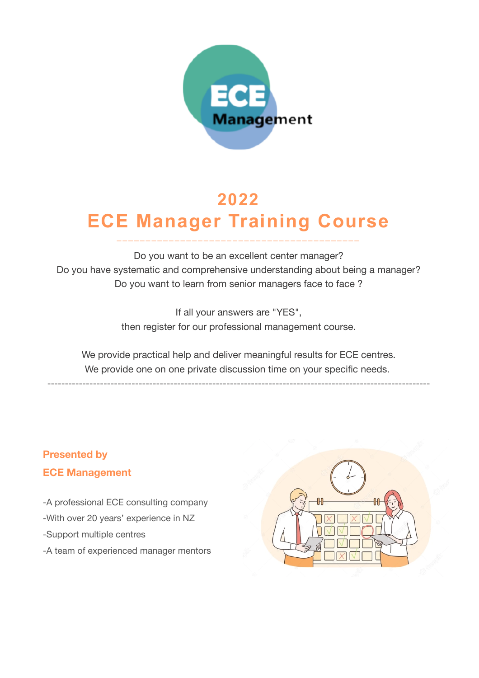

# **2022 ECE Manager Training Course**

**\_\_\_\_\_\_\_\_\_\_\_\_\_\_\_\_\_\_\_\_\_\_\_\_\_\_\_\_\_\_\_\_\_\_\_\_\_\_\_\_\_ \_**

Do you want to be an excellent center manager? Do you have systematic and comprehensive understanding about being a manager? Do you want to learn from senior managers face to face ?

> If all your answers are "YES", then register for our professional management course.

We provide practical help and deliver meaningful results for ECE centres. We provide one on one private discussion time on your specific needs.

-------------------------------------------------------------------------------------------------------------

# **Presented by ECE Management**

-A professional ECE consulting company -With over 20 years' experience in NZ -Support multiple centres

-A team of experienced manager mentors

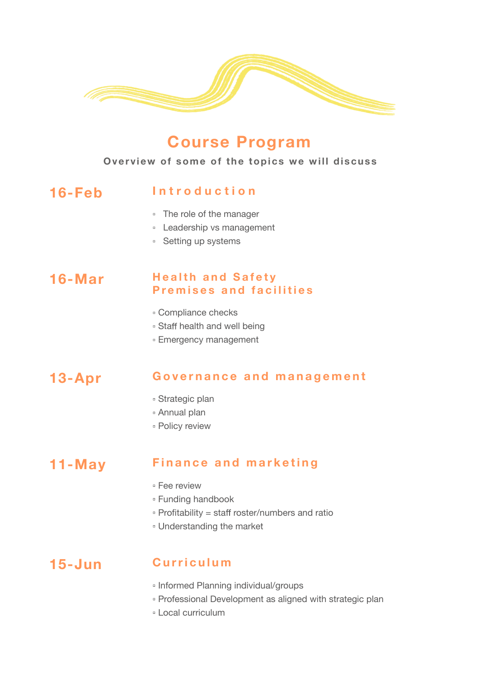

# **Course Program**

#### **Overview of some of the topics we will discuss**

#### 16-Feb Introduction

- The role of the manager
- **Leadership vs management**
- Setting up systems

#### **16-Mar Health and Safety P r emises and facilitie s**

- Compliance checks
- **Staff health and well being**
- Emergency management

# **13-Apr Governance and management**

- Strategic plan
- Annual plan
- Policy review

# **11-May Finance and marketing**

- **Fee review**
- Funding handbook
- $\cdot$  Profitability = staff roster/numbers and ratio
- Understanding the market

### **15-Jun Curriculu m**

- **Informed Planning individual/groups**
- Professional Development as aligned with strategic plan
- Local curriculum